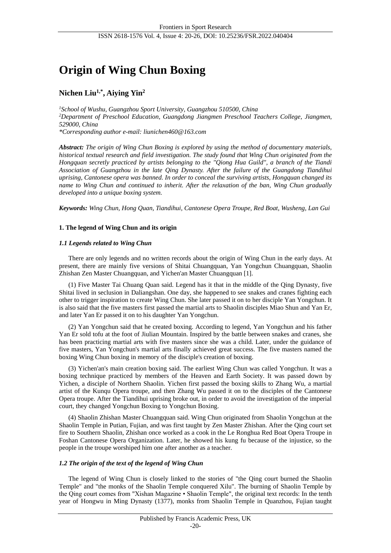# **Origin of Wing Chun Boxing**

## **Nichen Liu1,\* , Aiying Yin<sup>2</sup>**

*<sup>1</sup>School of Wushu, Guangzhou Sport University, Guangzhou 510500, China <sup>2</sup>Department of Preschool Education, Guangdong Jiangmen Preschool Teachers College, Jiangmen, 529000, China*

*\*Corresponding author e-mail: liunichen460@163.com*

*Abstract: The origin of Wing Chun Boxing is explored by using the method of documentary materials, historical textual research and field investigation. The study found that Wing Chun originated from the Hongquan secretly practiced by artists belonging to the "Qiong Hua Guild", a branch of the Tiandi Association of Guangzhou in the late Qing Dynasty. After the failure of the Guangdong Tiandihui uprising, Cantonese opera was banned. In order to conceal the surviving artists, Hongquan changed its name to Wing Chun and continued to inherit. After the relaxation of the ban, Wing Chun gradually developed into a unique boxing system.*

*Keywords: Wing Chun, Hong Quan, Tiandihui, Cantonese Opera Troupe, Red Boat, Wusheng, Lan Gui*

### **1. The legend of Wing Chun and its origin**

### *1.1 Legends related to Wing Chun*

There are only legends and no written records about the origin of Wing Chun in the early days. At present, there are mainly five versions of Shitai Chuangquan, Yan Yongchun Chuangquan, Shaolin Zhishan Zen Master Chuangquan, and Yichen'an Master Chuangquan [1].

(1) Five Master Tai Chuang Quan said. Legend has it that in the middle of the Qing Dynasty, five Shitai lived in seclusion in Daliangshan. One day, she happened to see snakes and cranes fighting each other to trigger inspiration to create Wing Chun. She later passed it on to her disciple Yan Yongchun. It is also said that the five masters first passed the martial arts to Shaolin disciples Miao Shun and Yan Er, and later Yan Er passed it on to his daughter Yan Yongchun.

(2) Yan Yongchun said that he created boxing. According to legend, Yan Yongchun and his father Yan Er sold tofu at the foot of Jiulian Mountain. Inspired by the battle between snakes and cranes, she has been practicing martial arts with five masters since she was a child. Later, under the guidance of five masters, Yan Yongchun's martial arts finally achieved great success. The five masters named the boxing Wing Chun boxing in memory of the disciple's creation of boxing.

(3) Yichen'an's main creation boxing said. The earliest Wing Chun was called Yongchun. It was a boxing technique practiced by members of the Heaven and Earth Society. It was passed down by Yichen, a disciple of Northern Shaolin. Yichen first passed the boxing skills to Zhang Wu, a martial artist of the Kunqu Opera troupe, and then Zhang Wu passed it on to the disciples of the Cantonese Opera troupe. After the Tiandihui uprising broke out, in order to avoid the investigation of the imperial court, they changed Yongchun Boxing to Yongchun Boxing.

(4) Shaolin Zhishan Master Chuangquan said. Wing Chun originated from Shaolin Yongchun at the Shaolin Temple in Putian, Fujian, and was first taught by Zen Master Zhishan. After the Qing court set fire to Southern Shaolin, Zhishan once worked as a cook in the Le Ronghua Red Boat Opera Troupe in Foshan Cantonese Opera Organization. Later, he showed his kung fu because of the injustice, so the people in the troupe worshiped him one after another as a teacher.

#### *1.2 The origin of the text of the legend of Wing Chun*

The legend of Wing Chun is closely linked to the stories of "the Qing court burned the Shaolin Temple" and "the monks of the Shaolin Temple conquered Xilu". The burning of Shaolin Temple by the Qing court comes from "Xishan Magazine • Shaolin Temple", the original text records: In the tenth year of Hongwu in Ming Dynasty (1377), monks from Shaolin Temple in Quanzhou, Fujian taught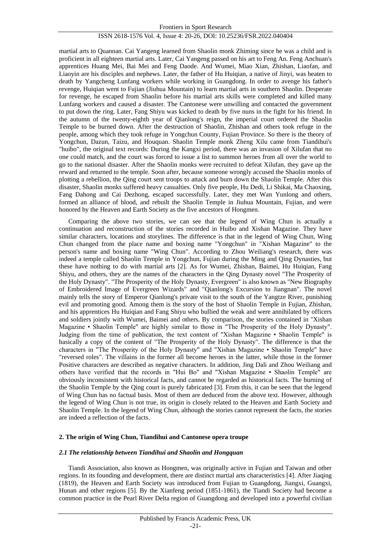martial arts to Quannan. Cai Yangeng learned from Shaolin monk Zhiming since he was a child and is proficient in all eighteen martial arts. Later, Cai Yangeng passed on his art to Feng An. Feng Anchuan's apprentices Huang Mei, Bai Mei and Feng Daode. And Wumei, Miao Xian, Zhishan, Liaofan, and Liaoyin are his disciples and nephews. Later, the father of Hu Huiqian, a native of Jinyi, was beaten to death by Yangcheng Lunfang workers while working in Guangdong. In order to avenge his father's revenge, Huiqian went to Fujian (Jiuhua Mountain) to learn martial arts in southern Shaolin. Desperate for revenge, he escaped from Shaolin before his martial arts skills were completed and killed many Lunfang workers and caused a disaster. The Cantonese were unwilling and contacted the government to put down the ring. Later, Fang Shiyu was kicked to death by five nuns in the fight for his friend. In the autumn of the twenty-eighth year of Qianlong's reign, the imperial court ordered the Shaolin Temple to be burned down. After the destruction of Shaolin, Zhishan and others took refuge in the people, among which they took refuge in Yongchun County, Fujian Province. So there is the theory of Yongchun, Dazun, Taizu, and Houquan. Shaolin Temple monk Zheng Xilu came from Tiandihui's "huibo", the original text records: During the Kangxi period, there was an invasion of Xilufan that no one could match, and the court was forced to issue a list to summon heroes from all over the world to go to the national disaster. After the Shaolin monks were recruited to defeat Xilufan, they gave up the reward and returned to the temple. Soon after, because someone wrongly accused the Shaolin monks of plotting a rebellion, the Qing court sent troops to attack and burn down the Shaolin Temple. After this disaster, Shaolin monks suffered heavy casualties. Only five people, Hu Dedi, Li Shikai, Ma Chaoxing, Fang Dahong and Cai Dezhong, escaped successfully. Later, they met Wan Yunlong and others, formed an alliance of blood, and rebuilt the Shaolin Temple in Jiuhua Mountain, Fujian, and were honored by the Heaven and Earth Society as the five ancestors of Hongmen.

Comparing the above two stories, we can see that the legend of Wing Chun is actually a continuation and reconstruction of the stories recorded in Huibo and Xishan Magazine. They have similar characters, locations and storylines. The difference is that in the legend of Wing Chun, Wing Chun changed from the place name and boxing name "Yongchun" in "Xishan Magazine" to the person's name and boxing name "Wing Chun". According to Zhou Weiliang's research, there was indeed a temple called Shaolin Temple in Yongchun, Fujian during the Ming and Qing Dynasties, but these have nothing to do with martial arts [2]. As for Wumei, Zhishan, Baimei, Hu Huiqian, Fang Shiyu, and others, they are the names of the characters in the Qing Dynasty novel "The Prosperity of the Holy Dynasty". "The Prosperity of the Holy Dynasty, Evergreen" is also known as "New Biography of Embroidered Image of Evergreen Wizards" and "Qianlong's Excursion to Jiangnan". The novel mainly tells the story of Emperor Qianlong's private visit to the south of the Yangtze River, punishing evil and promoting good. Among them is the story of the host of Shaolin Temple in Fujian, Zhishan, and his apprentices Hu Huiqian and Fang Shiyu who bullied the weak and were annihilated by officers and soldiers jointly with Wumei, Baimei and others. By comparison, the stories contained in "Xishan Magazine • Shaolin Temple" are highly similar to those in "The Prosperity of the Holy Dynasty". Judging from the time of publication, the text content of "Xishan Magazine • Shaolin Temple" is basically a copy of the content of "The Prosperity of the Holy Dynasty". The difference is that the characters in "The Prosperity of the Holy Dynasty" and "Xishan Magazine • Shaolin Temple" have "reversed roles". The villains in the former all become heroes in the latter, while those in the former Positive characters are described as negative characters. In addition, Jing Dali and Zhou Weiliang and others have verified that the records in "Hui Bo" and "Xishan Magazine • Shaolin Temple" are obviously inconsistent with historical facts, and cannot be regarded as historical facts. The burning of the Shaolin Temple by the Qing court is purely fabricated [3]. From this, it can be seen that the legend of Wing Chun has no factual basis. Most of them are deduced from the above text. However, although the legend of Wing Chun is not true, its origin is closely related to the Heaven and Earth Society and Shaolin Temple. In the legend of Wing Chun, although the stories cannot represent the facts, the stories are indeed a reflection of the facts.

#### **2. The origin of Wing Chun, Tiandihui and Cantonese opera troupe**

#### *2.1 The relationship between Tiandihui and Shaolin and Hongquan*

Tiandi Association, also known as Hongmen, was originally active in Fujian and Taiwan and other regions. In its founding and development, there are distinct martial arts characteristics [4]. After Jiaqing (1819), the Heaven and Earth Society was introduced from Fujian to Guangdong, Jiangxi, Guangxi, Hunan and other regions [5]. By the Xianfeng period (1851-1861), the Tiandi Society had become a common practice in the Pearl River Delta region of Guangdong and developed into a powerful civilian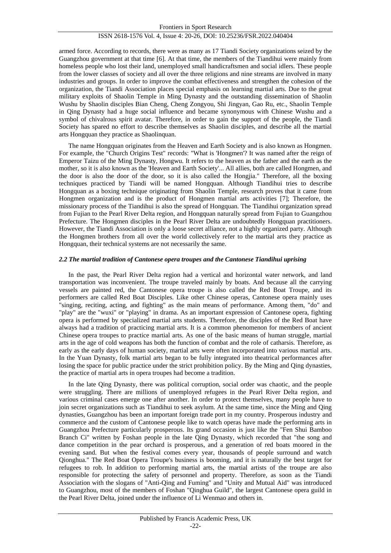armed force. According to records, there were as many as 17 Tiandi Society organizations seized by the Guangzhou government at that time [6]. At that time, the members of the Tiandihui were mainly from homeless people who lost their land, unemployed small handicraftsmen and social idlers. These people from the lower classes of society and all over the three religions and nine streams are involved in many industries and groups. In order to improve the combat effectiveness and strengthen the cohesion of the organization, the Tiandi Association places special emphasis on learning martial arts. Due to the great military exploits of Shaolin Temple in Ming Dynasty and the outstanding dissemination of Shaolin Wushu by Shaolin disciples Bian Cheng, Cheng Zongyou, Shi Jingyan, Gao Ru, etc., Shaolin Temple in Qing Dynasty had a huge social influence and became synonymous with Chinese Wushu and a symbol of chivalrous spirit avatar. Therefore, in order to gain the support of the people, the Tiandi Society has spared no effort to describe themselves as Shaolin disciples, and describe all the martial arts Hongquan they practice as Shaolinquan.

The name Hongquan originates from the Heaven and Earth Society and is also known as Hongmen. For example, the "Church Origins Test" records: "What is 'Hongmen'? It was named after the reign of Emperor Taizu of the Ming Dynasty, Hongwu. It refers to the heaven as the father and the earth as the mother, so it is also known as the 'Heaven and Earth Society'... All allies, both are called Hongmen, and the door is also the door of the door, so it is also called the Hongjia." Therefore, all the boxing techniques practiced by Tiandi will be named Hongquan. Although Tiandihui tries to describe Hongquan as a boxing technique originating from Shaolin Temple, research proves that it came from Hongmen organization and is the product of Hongmen martial arts activities [7]; Therefore, the missionary process of the Tiandihui is also the spread of Hongquan. The Tiandihui organization spread from Fujian to the Pearl River Delta region, and Hongquan naturally spread from Fujian to Guangzhou Prefecture. The Hongmen disciples in the Pearl River Delta are undoubtedly Hongquan practitioners. However, the Tiandi Association is only a loose secret alliance, not a highly organized party. Although the Hongmen brothers from all over the world collectively refer to the martial arts they practice as Hongquan, their technical systems are not necessarily the same.

#### *2.2 The martial tradition of Cantonese opera troupes and the Cantonese Tiandihui uprising*

In the past, the Pearl River Delta region had a vertical and horizontal water network, and land transportation was inconvenient. The troupe traveled mainly by boats. And because all the carrying vessels are painted red, the Cantonese opera troupe is also called the Red Boat Troupe, and its performers are called Red Boat Disciples. Like other Chinese operas, Cantonese opera mainly uses "singing, reciting, acting, and fighting" as the main means of performance. Among them, "do" and "play" are the "wuxi" or "playing" in drama. As an important expression of Cantonese opera, fighting opera is performed by specialized martial arts students. Therefore, the disciples of the Red Boat have always had a tradition of practicing martial arts. It is a common phenomenon for members of ancient Chinese opera troupes to practice martial arts. As one of the basic means of human struggle, martial arts in the age of cold weapons has both the function of combat and the role of catharsis. Therefore, as early as the early days of human society, martial arts were often incorporated into various martial arts. In the Yuan Dynasty, folk martial arts began to be fully integrated into theatrical performances after losing the space for public practice under the strict prohibition policy. By the Ming and Qing dynasties, the practice of martial arts in opera troupes had become a tradition.

In the late Qing Dynasty, there was political corruption, social order was chaotic, and the people were struggling. There are millions of unemployed refugees in the Pearl River Delta region, and various criminal cases emerge one after another. In order to protect themselves, many people have to join secret organizations such as Tiandihui to seek asylum. At the same time, since the Ming and Qing dynasties, Guangzhou has been an important foreign trade port in my country. Prosperous industry and commerce and the custom of Cantonese people like to watch operas have made the performing arts in Guangzhou Prefecture particularly prosperous. Its grand occasion is just like the "Fen Shui Bamboo Branch Ci" written by Foshan people in the late Qing Dynasty, which recorded that "the song and dance competition in the pear orchard is prosperous, and a generation of red boats moored in the evening sand. But when the festival comes every year, thousands of people surround and watch Qionghua." The Red Boat Opera Troupe's business is booming, and it is naturally the best target for refugees to rob. In addition to performing martial arts, the martial artists of the troupe are also responsible for protecting the safety of personnel and property. Therefore, as soon as the Tiandi Association with the slogans of "Anti-Qing and Fuming" and "Unity and Mutual Aid" was introduced to Guangzhou, most of the members of Foshan "Qinghua Guild", the largest Cantonese opera guild in the Pearl River Delta, joined under the influence of Li Wenmao and others in.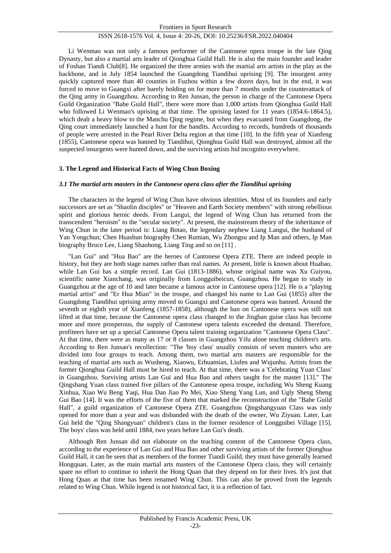Li Wenmao was not only a famous performer of the Cantonese opera troupe in the late Qing Dynasty, but also a martial arts leader of Qionghua Guild Hall. He is also the main founder and leader of Foshan Tiandi Club[8]. He organized the three armies with the martial arts artists in the play as the backbone, and in July 1854 launched the Guangdong Tiandihui uprising [9]. The insurgent army quickly captured more than 40 counties in Fuzhou within a few dozen days, but in the end, it was forced to move to Guangxi after barely holding on for more than 7 months under the counterattack of the Qing army in Guangzhou. According to Ren Junsan, the person in charge of the Cantonese Opera Guild Organization "Bahe Guild Hall", there were more than 1,000 artists from Qionghua Guild Hall who followed Li Wenmao's uprising at that time. The uprising lasted for 11 years (1854.6-1864.5), which dealt a heavy blow to the Manchu Qing regime, but when they evacuated from Guangdong, the Qing court immediately launched a hunt for the bandits. According to records, hundreds of thousands of people were arrested in the Pearl River Delta region at that time [10]. In the fifth year of Xianfeng (1855), Cantonese opera was banned by Tiandihui, Qionghua Guild Hall was destroyed, almost all the suspected insurgents were hunted down, and the surviving artists hid incognito everywhere.

#### **3. The Legend and Historical Facts of Wing Chun Boxing**

#### *3.1 The martial arts masters in the Cantonese opera class after the Tiandihui uprising*

The characters in the legend of Wing Chun have obvious identities. Most of its founders and early successors are set as "Shaolin disciples" or "Heaven and Earth Society members" with strong rebellious spirit and glorious heroic deeds. From Langui, the legend of Wing Chun has returned from the transcendent "heroism" to the "secular society". At present, the mainstream theory of the inheritance of Wing Chun in the later period is: Liang Botao, the legendary nephew Liang Langui, the husband of Yan Yongchun; Chen Huashun biography Chen Rumian, Wu Zhongsu and Ip Man and others, Ip Man biography Bruce Lee, Liang Shaohong, Liang Ting and so on [11] .

"Lan Gui" and "Hua Bao" are the heroes of Cantonese Opera ZTE. There are indeed people in history, but they are both stage names rather than real names. At present, little is known about Huabao, while Lan Gui has a simple record. Lan Gui (1813-1886), whose original name was Xu Guiyou, scientific name Xianchang, was originally from Longguibeicun, Guangzhou. He began to study in Guangzhou at the age of 10 and later became a famous actor in Cantonese opera [12]. He is a "playing martial artist" and "Er Hua Mian" in the troupe, and changed his name to Lan Gui (1855) after the Guangdong Tiandihui uprising army moved to Guangxi and Cantonese opera was banned. Around the seventh or eighth year of Xianfeng (1857-1858), although the ban on Cantonese opera was still not lifted at that time, because the Cantonese opera class changed to the Jingban guise class has become more and more prosperous, the supply of Cantonese opera talents exceeded the demand. Therefore, profiteers have set up a special Cantonese Opera talent training organization "Cantonese Opera Class". At that time, there were as many as 17 or 8 classes in Guangzhou Yifu alone teaching children's arts. According to Ren Junsan's recollection: "The 'boy class' usually consists of seven masters who are divided into four groups to teach. Among them, two martial arts masters are responsible for the teaching of martial arts such as Wusheng, Xiaowu, Erhuamian, Liufen and Wujunhu. Artists from the former Qionghua Guild Hall must be hired to teach. At that time, there was a 'Celebrating Yuan Class' in Guangzhou. Surviving artists Lan Gui and Hua Bao and others taught for the master [13]." The Qingshang Yuan class trained five pillars of the Cantonese opera troupe, including Wu Sheng Kuang Xinhua, Xiao Wu Beng Yaqi, Hua Dan Jiao Po Mei, Xiao Sheng Yang Lun, and Ugly Sheng Sheng Gui Bao [14]. It was the efforts of the five of them that marked the reconstruction of the "Bahe Guild Hall", a guild organization of Cantonese Opera ZTE. Guangzhou Qingshangyuan Class was only opened for more than a year and was disbanded with the death of the owner, Wu Ziyuan. Later, Lan Gui held the "Qing Shangyuan" children's class in the former residence of Longguibei Village [15]. The boys' class was held until 1884, two years before Lan Gui's death.

Although Ren Junsan did not elaborate on the teaching content of the Cantonese Opera class, according to the experience of Lan Gui and Hua Bao and other surviving artists of the former Qionghua Guild Hall, it can be seen that as members of the former Tiandi Guild, they must have generally learned Hongquan. Later, as the main martial arts masters of the Cantonese Opera class, they will certainly spare no effort to continue to inherit the Hong Quan that they depend on for their lives. It's just that Hong Quan at that time has been renamed Wing Chun. This can also be proved from the legends related to Wing Chun. While legend is not historical fact, it is a reflection of fact.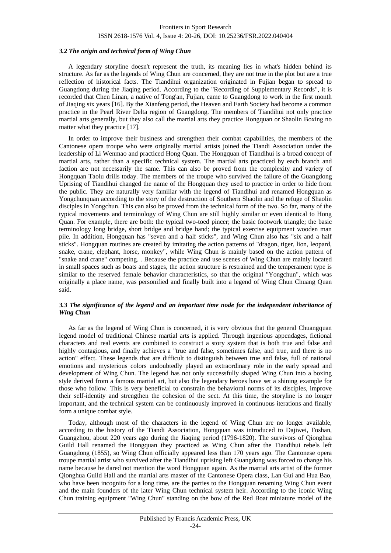#### *3.2 The origin and technical form of Wing Chun*

A legendary storyline doesn't represent the truth, its meaning lies in what's hidden behind its structure. As far as the legends of Wing Chun are concerned, they are not true in the plot but are a true reflection of historical facts. The Tiandihui organization originated in Fujian began to spread to Guangdong during the Jiaqing period. According to the "Recording of Supplementary Records", it is recorded that Chen Linan, a native of Tong'an, Fujian, came to Guangdong to work in the first month of Jiaqing six years [16]. By the Xianfeng period, the Heaven and Earth Society had become a common practice in the Pearl River Delta region of Guangdong. The members of Tiandihui not only practice martial arts generally, but they also call the martial arts they practice Hongquan or Shaolin Boxing no matter what they practice [17].

In order to improve their business and strengthen their combat capabilities, the members of the Cantonese opera troupe who were originally martial artists joined the Tiandi Association under the leadership of Li Wenmao and practiced Hong Quan. The Hongquan of Tiandihui is a broad concept of martial arts, rather than a specific technical system. The martial arts practiced by each branch and faction are not necessarily the same. This can also be proved from the complexity and variety of Hongquan Taolu drills today. The members of the troupe who survived the failure of the Guangdong Uprising of Tiandihui changed the name of the Hongquan they used to practice in order to hide from the public. They are naturally very familiar with the legend of Tiandihui and renamed Hongquan as Yongchunquan according to the story of the destruction of Southern Shaolin and the refuge of Shaolin disciples in Yongchun. This can also be proved from the technical form of the two. So far, many of the typical movements and terminology of Wing Chun are still highly similar or even identical to Hong Quan. For example, there are both: the typical two-toed pincer; the basic footwork triangle; the basic terminology long bridge, short bridge and bridge hand; the typical exercise equipment wooden man pile. In addition, Hongquan has "seven and a half sticks", and Wing Chun also has "six and a half sticks". Hongquan routines are created by imitating the action patterns of "dragon, tiger, lion, leopard, snake, crane, elephant, horse, monkey", while Wing Chun is mainly based on the action pattern of "snake and crane" competing. . Because the practice and use scenes of Wing Chun are mainly located in small spaces such as boats and stages, the action structure is restrained and the temperament type is similar to the reserved female behavior characteristics, so that the original "Yongchun", which was originally a place name, was personified and finally built into a legend of Wing Chun Chuang Quan said.

#### *3.3 The significance of the legend and an important time node for the independent inheritance of Wing Chun*

As far as the legend of Wing Chun is concerned, it is very obvious that the general Chuangquan legend model of traditional Chinese martial arts is applied. Through ingenious appendages, fictional characters and real events are combined to construct a story system that is both true and false and highly contagious, and finally achieves a "true and false, sometimes false, and true, and there is no action" effect. These legends that are difficult to distinguish between true and false, full of national emotions and mysterious colors undoubtedly played an extraordinary role in the early spread and development of Wing Chun. The legend has not only successfully shaped Wing Chun into a boxing style derived from a famous martial art, but also the legendary heroes have set a shining example for those who follow. This is very beneficial to constrain the behavioral norms of its disciples, improve their self-identity and strengthen the cohesion of the sect. At this time, the storyline is no longer important, and the technical system can be continuously improved in continuous iterations and finally form a unique combat style.

Today, although most of the characters in the legend of Wing Chun are no longer available, according to the history of the Tiandi Association, Hongquan was introduced to Dajiwei, Foshan, Guangzhou, about 220 years ago during the Jiaqing period (1796-1820). The survivors of Qionghua Guild Hall renamed the Hongquan they practiced as Wing Chun after the Tiandihui rebels left Guangdong (1855), so Wing Chun officially appeared less than 170 years ago. The Cantonese opera troupe martial artist who survived after the Tiandihui uprising left Guangdong was forced to change his name because he dared not mention the word Hongquan again. As the martial arts artist of the former Qionghua Guild Hall and the martial arts master of the Cantonese Opera class, Lan Gui and Hua Bao, who have been incognito for a long time, are the parties to the Hongquan renaming Wing Chun event and the main founders of the later Wing Chun technical system heir. According to the iconic Wing Chun training equipment "Wing Chun" standing on the bow of the Red Boat miniature model of the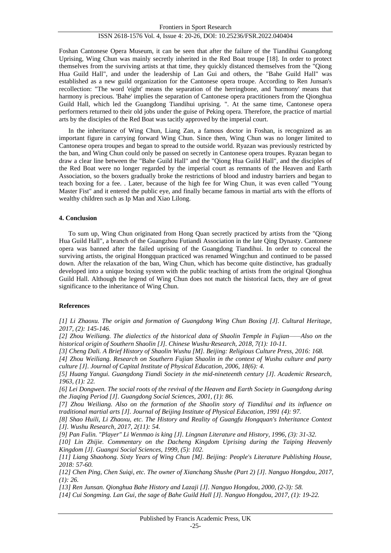Foshan Cantonese Opera Museum, it can be seen that after the failure of the Tiandihui Guangdong Uprising, Wing Chun was mainly secretly inherited in the Red Boat troupe [18]. In order to protect themselves from the surviving artists at that time, they quickly distanced themselves from the "Qiong Hua Guild Hall", and under the leadership of Lan Gui and others, the "Bahe Guild Hall" was established as a new guild organization for the Cantonese opera troupe. According to Ren Junsan's recollection: "The word 'eight' means the separation of the herringbone, and 'harmony' means that harmony is precious. 'Bahe' implies the separation of Cantonese opera practitioners from the Qionghua Guild Hall, which led the Guangdong Tiandihui uprising. ". At the same time, Cantonese opera performers returned to their old jobs under the guise of Peking opera. Therefore, the practice of martial arts by the disciples of the Red Boat was tacitly approved by the imperial court.

In the inheritance of Wing Chun, Liang Zan, a famous doctor in Foshan, is recognized as an important figure in carrying forward Wing Chun. Since then, Wing Chun was no longer limited to Cantonese opera troupes and began to spread to the outside world. Ryazan was previously restricted by the ban, and Wing Chun could only be passed on secretly in Cantonese opera troupes. Ryazan began to draw a clear line between the "Bahe Guild Hall" and the "Qiong Hua Guild Hall", and the disciples of the Red Boat were no longer regarded by the imperial court as remnants of the Heaven and Earth Association, so the boxers gradually broke the restrictions of blood and industry barriers and began to teach boxing for a fee. . Later, because of the high fee for Wing Chun, it was even called "Young Master Fist" and it entered the public eye, and finally became famous in martial arts with the efforts of wealthy children such as Ip Man and Xiao Lilong.

#### **4. Conclusion**

To sum up, Wing Chun originated from Hong Quan secretly practiced by artists from the "Qiong Hua Guild Hall", a branch of the Guangzhou Futiandi Association in the late Qing Dynasty. Cantonese opera was banned after the failed uprising of the Guangdong Tiandihui. In order to conceal the surviving artists, the original Hongquan practiced was renamed Wingchun and continued to be passed down. After the relaxation of the ban, Wing Chun, which has become quite distinctive, has gradually developed into a unique boxing system with the public teaching of artists from the original Qionghua Guild Hall. Although the legend of Wing Chun does not match the historical facts, they are of great significance to the inheritance of Wing Chun.

#### **References**

*[1] Li Zhaoxu. The origin and formation of Guangdong Wing Chun Boxing [J]. Cultural Heritage, 2017, (2): 145-146.*

*[2] Zhou Weiliang. The dialectics of the historical data of Shaolin Temple in Fujian——Also on the*  historical origin of Southern Shaolin [J]. Chinese Wushu Research, 2018, 7(1): 10-11.

*[3] Cheng Dali. A Brief History of Shaolin Wushu [M]. Beijing: Religious Culture Press, 2016: 168.*

*[4] Zhou Weiliang. Research on Southern Fujian Shaolin in the context of Wushu culture and party culture [J]. Journal of Capital Institute of Physical Education, 2006, 18(6): 4.*

*[5] Huang Yangui. Guangdong Tiandi Society in the mid-nineteenth century [J]. Academic Research, 1963, (1): 22.*

*[6] Lei Dongwen. The social roots of the revival of the Heaven and Earth Society in Guangdong during the Jiaqing Period [J]. Guangdong Social Sciences, 2001, (1): 86.*

*[7] Zhou Weiliang. Also on the formation of the Shaolin story of Tiandihui and its influence on traditional martial arts [J]. Journal of Beijing Institute of Physical Education, 1991 (4): 97.*

*[8] Shao Huili, Li Zhaoxu, etc. The History and Reality of Guangfu Hongquan's Inheritance Context [J]. Wushu Research, 2017, 2(11): 54.*

*[9] Pan Fulin. "Player" Li Wenmao is king [J]. Lingnan Literature and History, 1996, (3): 31-32.*

*[10] Lin Zhijie. Commentary on the Dacheng Kingdom Uprising during the Taiping Heavenly Kingdom [J]. Guangxi Social Sciences, 1999, (5): 102.*

*[11] Liang Shaohong. Sixty Years of Wing Chun [M]. Beijing: People's Literature Publishing House, 2018: 57-60.*

*[12] Chen Ping, Chen Suiqi, etc. The owner of Xianchang Shushe (Part 2) [J]. Nanguo Hongdou, 2017, (1): 26.*

*[13] Ren Junsan. Qionghua Bahe History and Lazaji [J]. Nanguo Hongdou, 2000, (2-3): 58.*

*[14] Cui Songming. Lan Gui, the sage of Bahe Guild Hall [J]. Nanguo Hongdou, 2017, (1): 19-22.*